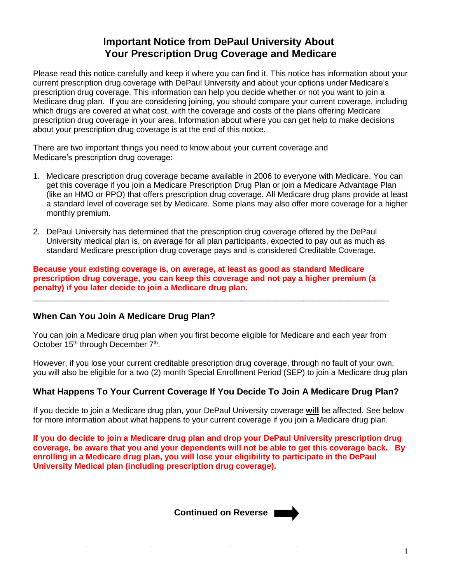# **Important Notice from DePaul University About Your Prescription Drug Coverage and Medicare**

Please read this notice carefully and keep it where you can find it. This notice has information about your current prescription drug coverage with DePaul University and about your options under Medicare's prescription drug coverage. This information can help you decide whether or not you want to join a Medicare drug plan. If you are considering joining, you should compare your current coverage, including which drugs are covered at what cost, with the coverage and costs of the plans offering Medicare prescription drug coverage in your area. Information about where you can get help to make decisions about your prescription drug coverage is at the end of this notice.

There are two important things you need to know about your current coverage and Medicare's prescription drug coverage:

- 1. Medicare prescription drug coverage became available in 2006 to everyone with Medicare. You can get this coverage if you join a Medicare Prescription Drug Plan or join a Medicare Advantage Plan (like an HMO or PPO) that offers prescription drug coverage. All Medicare drug plans provide at least a standard level of coverage set by Medicare. Some plans may also offer more coverage for a higher monthly premium.
- 2. DePaul University has determined that the prescription drug coverage offered by the DePaul University medical plan is, on average for all plan participants, expected to pay out as much as standard Medicare prescription drug coverage pays and is considered Creditable Coverage.

**Because your existing coverage is, on average, at least as good as standard Medicare prescription drug coverage, you can keep this coverage and not pay a higher premium (a penalty) if you later decide to join a Medicare drug plan.**

## **When Can You Join A Medicare Drug Plan?**

You can join a Medicare drug plan when you first become eligible for Medicare and each year from October 15<sup>th</sup> through December 7<sup>th</sup>.

\_\_\_\_\_\_\_\_\_\_\_\_\_\_\_\_\_\_\_\_\_\_\_\_\_\_\_\_\_\_\_\_\_\_\_\_\_\_\_\_\_\_\_\_\_\_\_\_\_\_\_\_\_\_\_\_\_\_\_\_\_\_\_\_\_\_\_\_\_\_\_\_\_\_\_\_\_\_\_

However, if you lose your current creditable prescription drug coverage, through no fault of your own, you will also be eligible for a two (2) month Special Enrollment Period (SEP) to join a Medicare drug plan

## **What Happens To Your Current Coverage If You Decide To Join A Medicare Drug Plan?**

If you decide to join a Medicare drug plan, your DePaul University coverage **will** be affected. See below for more information about what happens to your current coverage if you join a Medicare drug plan.

**If you do decide to join a Medicare drug plan and drop your DePaul University prescription drug coverage, be aware that you and your dependents will not be able to get this coverage back. By enrolling in a Medicare drug plan, you will lose your eligibility to participate in the DePaul University Medical plan (including prescription drug coverage).** 

 $\sim$  persons are required to require to require to a collection  $\sim$ **Continued on Reverse EXECUTE:** The time required to complete this information is estimated to complete this information conduction is estimated to complete this information is estimated to complete this information is e

to: CMS, 7500 Security Boulevard, Attn: PRA Reports Clearance Officer, Mail Stop C4-26-05, Baltimore, Maryland 21244-1850.